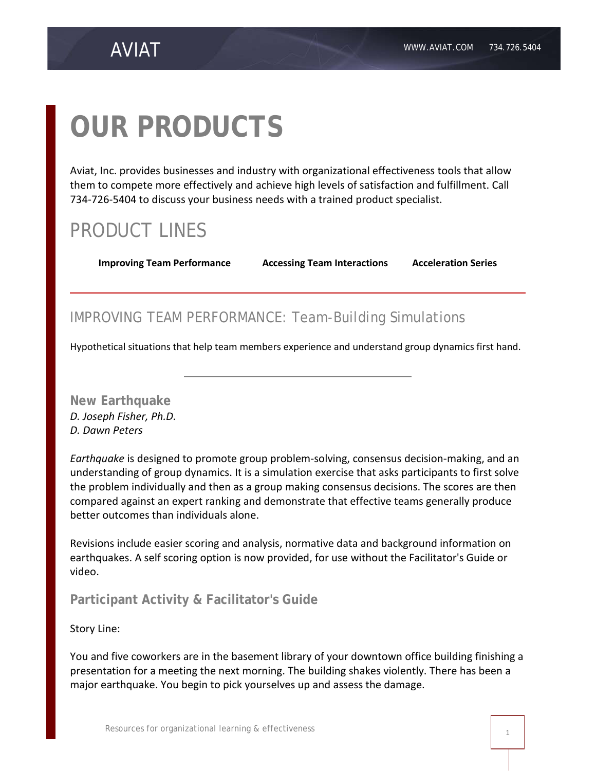# **OUR PRODUCTS**

Aviat, Inc. provides businesses and industry with organizational effectiveness tools that allow them to compete more effectively and achieve high levels of satisfaction and fulfillment. Call 734-726-5404 to discuss your business needs with a trained product specialist.

# PRODUCT LINES

**[Improving Team Performance](http://www.aviat.com/test/products/improving.html) [Accessing Team Interactions](http://www.aviat.com/test/products/teams.html) [Acceleration Series](http://www.aviat.com/test/products/acceleration_series.html)**

## IMPROVING TEAM PERFORMANCE: Team-Building Simulations

[Hypothetical situations](http://www.aviat.com/test/products/simulations.html) that help team members experience and understand group dynamics first hand.

**New Earthquake** *D. Joseph Fisher, Ph.D. D. Dawn Peters*

*Earthquake* is designed to promote group problem-solving, consensus decision-making, and an understanding of group dynamics. It is a simulation exercise that asks participants to first solve the problem individually and then as a group making consensus decisions. The scores are then compared against an expert ranking and demonstrate that effective teams generally produce better outcomes than individuals alone.

Revisions include easier scoring and analysis, normative data and background information on earthquakes. A self scoring option is now provided, for use without the Facilitator's Guide or video.

**Participant Activity & Facilitator's Guide**

Story Line:

You and five coworkers are in the basement library of your downtown office building finishing a presentation for a meeting the next morning. The building shakes violently. There has been a major earthquake. You begin to pick yourselves up and assess the damage.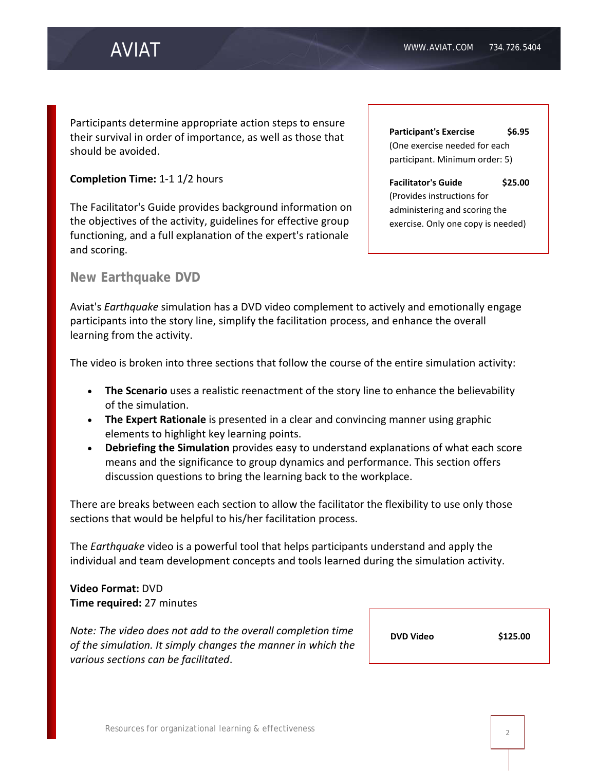# AVIAT

Participants determine appropriate action steps to ensure their survival in order of importance, as well as those that should be avoided.

#### **Completion Time:** 1-1 1/2 hours

The Facilitator's Guide provides background information on the objectives of the activity, guidelines for effective group functioning, and a full explanation of the expert's rationale and scoring.

**Participant's Exercise \$6.95** (One exercise needed for each participant. Minimum order: 5)

**Facilitator's Guide \$25.00** (Provides instructions for administering and scoring the exercise. Only one copy is needed)

#### **New Earthquake DVD**

Aviat's *Earthquake* simulation has a DVD video complement to actively and emotionally engage participants into the story line, simplify the facilitation process, and enhance the overall learning from the activity.

The video is broken into three sections that follow the course of the entire simulation activity:

- **The Scenario** uses a realistic reenactment of the story line to enhance the believability of the simulation.
- **The Expert Rationale** is presented in a clear and convincing manner using graphic elements to highlight key learning points.
- **Debriefing the Simulation** provides easy to understand explanations of what each score means and the significance to group dynamics and performance. This section offers discussion questions to bring the learning back to the workplace.

There are breaks between each section to allow the facilitator the flexibility to use only those sections that would be helpful to his/her facilitation process.

The *Earthquake* video is a powerful tool that helps participants understand and apply the individual and team development concepts and tools learned during the simulation activity.

#### **Video Format:** DVD **Time required:** 27 minutes

*Note: The video does not add to the overall completion time of the simulation. It simply changes the manner in which the various sections can be facilitated*.

**DVD Video \$125.00**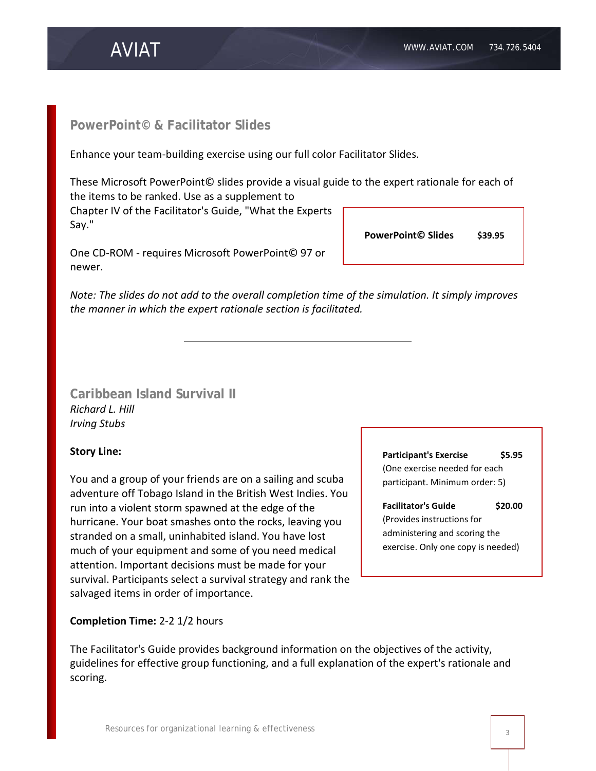# AVIAT

## **PowerPoint© & Facilitator Slides**

Enhance your team-building exercise using our full color Facilitator Slides.

These Microsoft PowerPoint© slides provide a visual guide to the expert rationale for each of the items to be ranked. Use as a supplement to

Chapter IV of the Facilitator's Guide, "What the Experts Say."

One CD-ROM - requires Microsoft PowerPoint© 97 or newer.

*Note: The slides do not add to the overall completion time of the simulation. It simply improves the manner in which the expert rationale section is facilitated.* 

**Caribbean Island Survival II** *Richard L. Hill Irving Stubs*

### **Story Line:**

You and a group of your friends are on a sailing and scuba adventure off Tobago Island in the British West Indies. You run into a violent storm spawned at the edge of the hurricane. Your boat smashes onto the rocks, leaving you stranded on a small, uninhabited island. You have lost much of your equipment and some of you need medical attention. Important decisions must be made for your survival. Participants select a survival strategy and rank the salvaged items in order of importance.

**Completion Time:** 2-2 1/2 hours

The Facilitator's Guide provides background information on the objectives of the activity, guidelines for effective group functioning, and a full explanation of the expert's rationale and scoring.

**Participant's Exercise \$5.95** (One exercise needed for each participant. Minimum order: 5)

#### **Facilitator's Guide \$20.00**

(Provides instructions for administering and scoring the exercise. Only one copy is needed)

**PowerPoint© Slides \$39.95**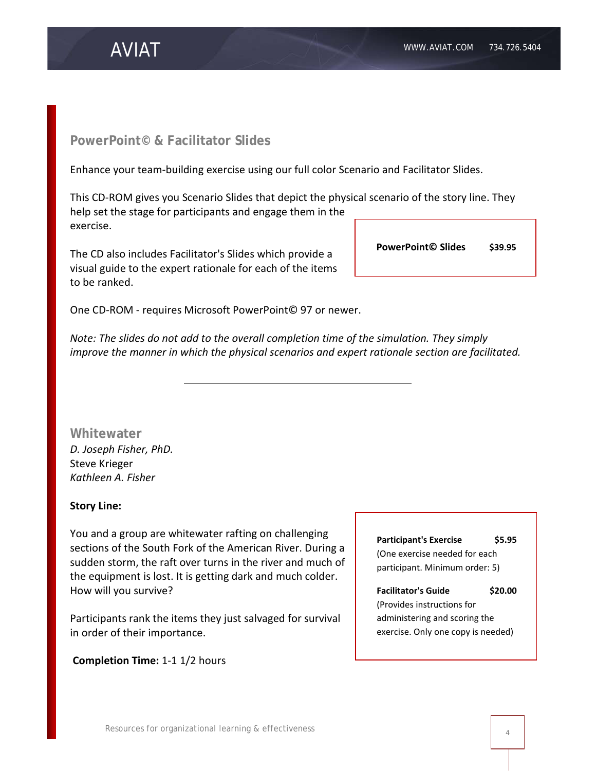#### **PowerPoint© & Facilitator Slides**

AVIAT

Enhance your team-building exercise using our full color Scenario and Facilitator Slides.

This CD-ROM gives you Scenario Slides that depict the physical scenario of the story line. They help set the stage for participants and engage them in the exercise.

The CD also includes Facilitator's Slides which provide a visual guide to the expert rationale for each of the items to be ranked.

One CD-ROM - requires Microsoft PowerPoint© 97 or newer.

*Note: The slides do not add to the overall completion time of the simulation. They simply improve the manner in which the physical scenarios and expert rationale section are facilitated.*

**Whitewater** *D. Joseph Fisher, PhD.* Steve Krieger *Kathleen A. Fisher*

#### **Story Line:**

You and a group are whitewater rafting on challenging sections of the South Fork of the American River. During a sudden storm, the raft over turns in the river and much of the equipment is lost. It is getting dark and much colder. How will you survive?

Participants rank the items they just salvaged for survival in order of their importance.

**Completion Time:** 1-1 1/2 hours

**Participant's Exercise \$5.95** (One exercise needed for each participant. Minimum order: 5)

#### **Facilitator's Guide \$20.00**

(Provides instructions for administering and scoring the exercise. Only one copy is needed)

**PowerPoint© Slides \$39.95**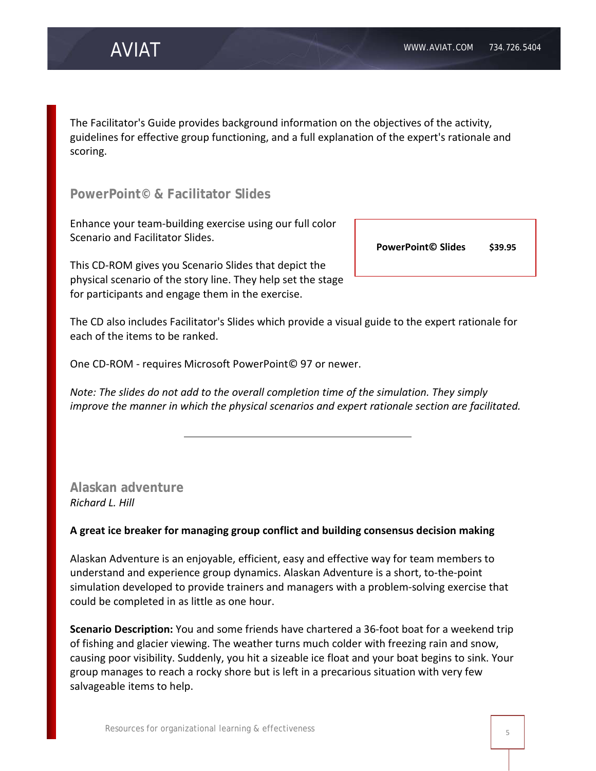The Facilitator's Guide provides background information on the objectives of the activity, guidelines for effective group functioning, and a full explanation of the expert's rationale and scoring.

**PowerPoint© & Facilitator Slides**

Enhance your team-building exercise using our full color Scenario and Facilitator Slides.

This CD-ROM gives you Scenario Slides that depict the physical scenario of the story line. They help set the stage for participants and engage them in the exercise.

**PowerPoint© Slides \$39.95**

The CD also includes Facilitator's Slides which provide a visual guide to the expert rationale for each of the items to be ranked.

One CD-ROM - requires Microsoft PowerPoint© 97 or newer.

*Note: The slides do not add to the overall completion time of the simulation. They simply improve the manner in which the physical scenarios and expert rationale section are facilitated.*

**Alaskan adventure** *Richard L. Hill*

#### **A great ice breaker for managing group conflict and building consensus decision making**

Alaskan Adventure is an enjoyable, efficient, easy and effective way for team members to understand and experience group dynamics. Alaskan Adventure is a short, to-the-point simulation developed to provide trainers and managers with a problem-solving exercise that could be completed in as little as one hour.

**Scenario Description:** You and some friends have chartered a 36-foot boat for a weekend trip of fishing and glacier viewing. The weather turns much colder with freezing rain and snow, causing poor visibility. Suddenly, you hit a sizeable ice float and your boat begins to sink. Your group manages to reach a rocky shore but is left in a precarious situation with very few salvageable items to help.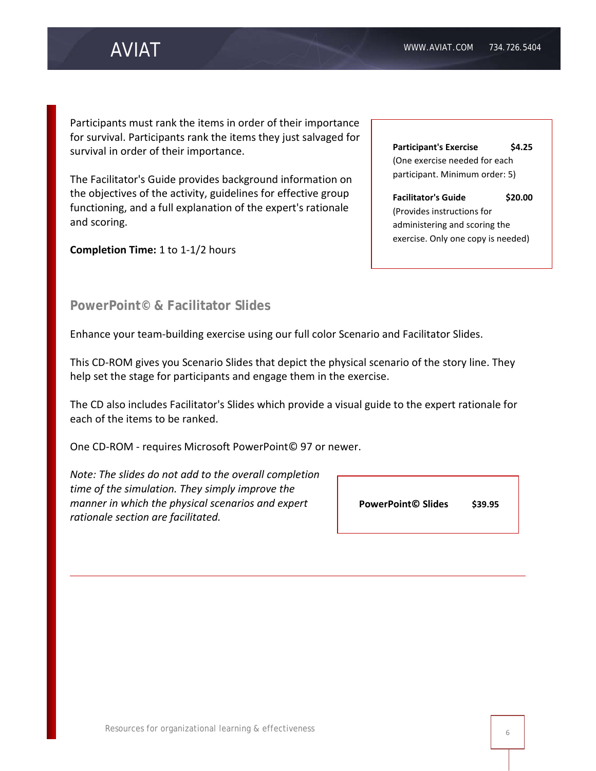# AVIAT

Participants must rank the items in order of their importance for survival. Participants rank the items they just salvaged for survival in order of their importance.

The Facilitator's Guide provides background information on the objectives of the activity, guidelines for effective group functioning, and a full explanation of the expert's rationale and scoring.

**Completion Time:** 1 to 1-1/2 hours

| <b>Participant's Exercise</b>                                   | S4.25   |
|-----------------------------------------------------------------|---------|
| (One exercise needed for each<br>participant. Minimum order: 5) |         |
| <b>Facilitator's Guide</b>                                      | \$20.00 |
| (Provides instructions for                                      |         |
| administering and scoring the                                   |         |
|                                                                 |         |

### **PowerPoint© & Facilitator Slides**

Enhance your team-building exercise using our full color Scenario and Facilitator Slides.

This CD-ROM gives you Scenario Slides that depict the physical scenario of the story line. They help set the stage for participants and engage them in the exercise.

The CD also includes Facilitator's Slides which provide a visual guide to the expert rationale for each of the items to be ranked.

One CD-ROM - requires Microsoft PowerPoint© 97 or newer.

*Note: The slides do not add to the overall completion time of the simulation. They simply improve the manner in which the physical scenarios and expert rationale section are facilitated.*

**PowerPoint© Slides \$39.95**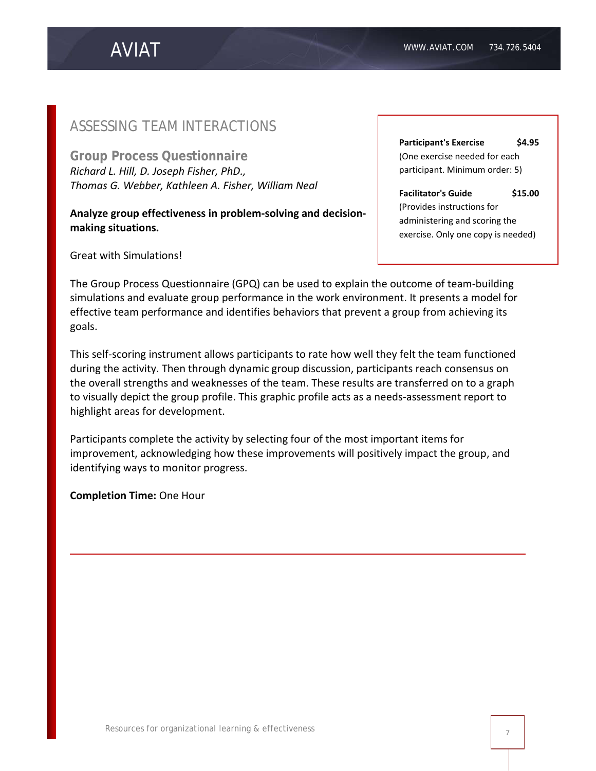### ASSESSING TEAM INTERACTIONS

**Group Process Questionnaire** *Richard L. Hill, D. Joseph Fisher, PhD., Thomas G. Webber, Kathleen A. Fisher, William Neal*

**Analyze group effectiveness in problem-solving and decisionmaking situations.** 

Great with [Simulations!](http://www.aviat.com/test/products/simulations.html)

**Participant's Exercise** \$4.95 (One exercise needed for each participant. Minimum order: 5)

**Facilitator's Guide \$15.00** (Provides instructions for administering and scoring the exercise. Only one copy is needed)

The Group Process Questionnaire (GPQ) can be used to explain the outcome of team-building simulations and evaluate group performance in the work environment. It presents a model for effective team performance and identifies behaviors that prevent a group from achieving its goals.

This self-scoring instrument allows participants to rate how well they felt the team functioned during the activity. Then through dynamic group discussion, participants reach consensus on the overall strengths and weaknesses of the team. These results are transferred on to a graph to visually depict the group profile. This graphic profile acts as a needs-assessment report to highlight areas for development.

Participants complete the activity by selecting four of the most important items for improvement, acknowledging how these improvements will positively impact the group, and identifying ways to monitor progress.

**Completion Time:** One Hour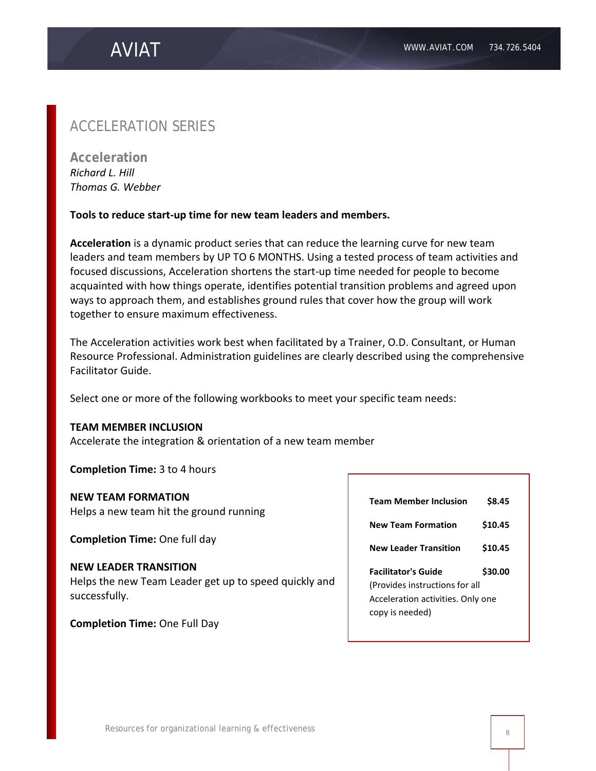## ACCELERATION SERIES

**Acceleration** *Richard L. Hill Thomas G. Webber*

#### **Tools to reduce start-up time for new team leaders and members.**

**Acceleration** is a dynamic product series that can reduce the learning curve for new team leaders and team members by UP TO 6 MONTHS. Using a tested process of team activities and focused discussions, Acceleration shortens the start-up time needed for people to become acquainted with how things operate, identifies potential transition problems and agreed upon ways to approach them, and establishes ground rules that cover how the group will work together to ensure maximum effectiveness.

The Acceleration activities work best when facilitated by a Trainer, O.D. Consultant, or Human Resource Professional. Administration guidelines are clearly described using the comprehensive Facilitator Guide.

Select one or more of the following workbooks to meet your specific team needs:

#### **TEAM MEMBER INCLUSION**

Accelerate the integration & orientation of a new team member

**Completion Time:** 3 to 4 hours

#### **NEW TEAM FORMATION**

Helps a new team hit the ground running

**Completion Time:** One full day

#### **NEW LEADER TRANSITION**

Helps the new Team Leader get up to speed quickly and successfully.

**Completion Time:** One Full Day

| <b>Team Member Inclusion</b>      | \$8.45  |  |
|-----------------------------------|---------|--|
| <b>New Team Formation</b>         | \$10.45 |  |
| <b>New Leader Transition</b>      | \$10.45 |  |
| <b>Facilitator's Guide</b>        | \$30.00 |  |
| (Provides instructions for all    |         |  |
| Acceleration activities. Only one |         |  |
|                                   |         |  |
| copy is needed)                   |         |  |